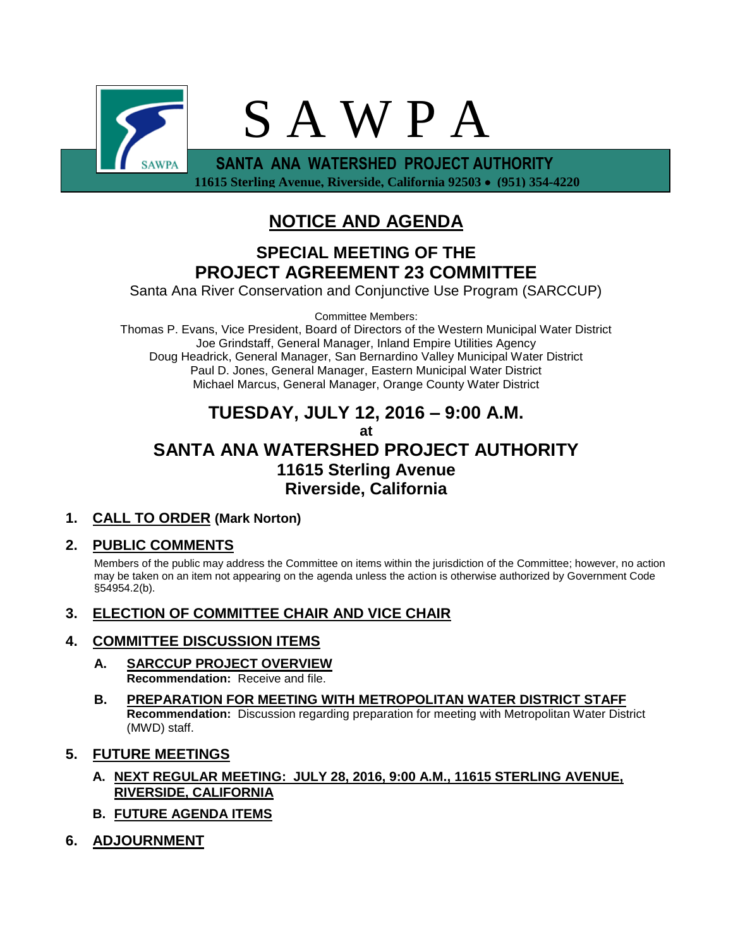

# **NOTICE AND AGENDA**

## **SPECIAL MEETING OF THE PROJECT AGREEMENT 23 COMMITTEE**

Santa Ana River Conservation and Conjunctive Use Program (SARCCUP)

Committee Members:

Thomas P. Evans, Vice President, Board of Directors of the Western Municipal Water District Joe Grindstaff, General Manager, Inland Empire Utilities Agency Doug Headrick, General Manager, San Bernardino Valley Municipal Water District Paul D. Jones, General Manager, Eastern Municipal Water District Michael Marcus, General Manager, Orange County Water District

## **TUESDAY, JULY 12, 2016 – 9:00 A.M. at SANTA ANA WATERSHED PROJECT AUTHORITY 11615 Sterling Avenue Riverside, California**

### **1. CALL TO ORDER (Mark Norton)**

### **2. PUBLIC COMMENTS**

Members of the public may address the Committee on items within the jurisdiction of the Committee; however, no action may be taken on an item not appearing on the agenda unless the action is otherwise authorized by Government Code §54954.2(b).

**3. ELECTION OF COMMITTEE CHAIR AND VICE CHAIR**

### **4. COMMITTEE DISCUSSION ITEMS**

- **A. SARCCUP PROJECT OVERVIEW Recommendation:** Receive and file.
- **B. PREPARATION FOR MEETING WITH METROPOLITAN WATER DISTRICT STAFF Recommendation:** Discussion regarding preparation for meeting with Metropolitan Water District (MWD) staff.
- **5. FUTURE MEETINGS**
	- **A. NEXT REGULAR MEETING: JULY 28, 2016, 9:00 A.M., 11615 STERLING AVENUE, RIVERSIDE, CALIFORNIA**
	- **B. FUTURE AGENDA ITEMS**
- **6. ADJOURNMENT**